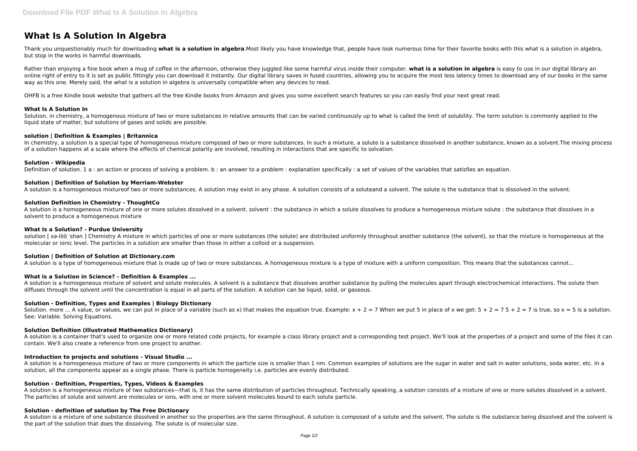# **What Is A Solution In Algebra**

Thank you unquestionably much for downloading **what is a solution in algebra**.Most likely you have knowledge that, people have look numerous time for their favorite books with this what is a solution in algebra, but stop in the works in harmful downloads.

Rather than enjoying a fine book when a mug of coffee in the afternoon, otherwise they juggled like some harmful virus inside their computer. **what is a solution in algebra** is easy to use in our digital library an online right of entry to it is set as public fittingly you can download it instantly. Our digital library saves in fused countries, allowing you to acquire the most less latency times to download any of our books in the sa way as this one. Merely said, the what is a solution in algebra is universally compatible when any devices to read.

Solution, in chemistry, a homogenous mixture of two or more substances in relative amounts that can be varied continuously up to what is called the limit of solubility. The term solution is commonly applied to the liquid state of matter, but solutions of gases and solids are possible.

In chemistry, a solution is a special type of homogeneous mixture composed of two or more substances. In such a mixture, a solute is a substance dissolved in another substance, known as a solvent. The mixing process of a solution happens at a scale where the effects of chemical polarity are involved, resulting in interactions that are specific to solvation.

OHFB is a free Kindle book website that gathers all the free Kindle books from Amazon and gives you some excellent search features so you can easily find your next great read.

# **What Is A Solution In**

A solution is a homogeneous mixture of one or more solutes dissolved in a solvent. solvent : the substance in which a solute dissolves to produce a homogeneous mixture solute : the substance that dissolves in a solvent to produce a homogeneous mixture

# **solution | Definition & Examples | Britannica**

solution [ sa-lōō 'shan ] Chemistry A mixture in which particles of one or more substances (the solute) are distributed uniformly throughout another substance (the solvent), so that the mixture is homogeneous at the molecular or ionic level. The particles in a solution are smaller than those in either a colloid or a suspension.

A solution is a homogeneous mixture of solvent and solute molecules. A solvent is a substance that dissolves another substance by pulling the molecules apart through electrochemical interactions. The solute then diffuses through the solvent until the concentration is equal in all parts of the solution. A solution can be liquid, solid, or gaseous.

### **Solution - Wikipedia**

Definition of solution. 1 a : an action or process of solving a problem. b : an answer to a problem : explanation specifically : a set of values of the variables that satisfies an equation.

Solution. more ... A value, or values, we can put in place of a variable (such as x) that makes the equation true. Example:  $x + 2 = 7$  When we put 5 in place of x we get:  $5 + 2 = 7$  5 + 2 = 7 is true, so  $x = 5$  is a solutio See: Variable. Solving Equations.

#### **Solution | Definition of Solution by Merriam-Webster**

A solution is a container that's used to organize one or more related code projects, for example a class library project and a corresponding test project. We'll look at the properties of a project and some of the files it contain. We'll also create a reference from one project to another.

A solution is a homogeneous mixtureof two or more substances. A solution may exist in any phase. A solution consists of a soluteand a solvent. The solute is the substance that is dissolved in the solvent.

#### **Solution Definition in Chemistry - ThoughtCo**

# **What Is a Solution? - Purdue University**

A solution is a mixture of one substance dissolved in another so the properties are the same throughout. A solution is composed of a solute and the solvent. The solute is the substance being dissolved and the solvent is the part of the solution that does the dissolving. The solute is of molecular size.

# **Solution | Definition of Solution at Dictionary.com**

A solution is a type of homogeneous mixture that is made up of two or more substances. A homogeneous mixture is a type of mixture with a uniform composition. This means that the substances cannot...

# **What is a Solution in Science? - Definition & Examples ...**

# **Solution - Definition, Types and Examples | Biology Dictionary**

# **Solution Definition (Illustrated Mathematics Dictionary)**

### **Introduction to projects and solutions - Visual Studio ...**

A solution is a homogeneous mixture of two or more components in which the particle size is smaller than 1 nm. Common examples of solutions are the sugar in water and salt in water solutions, soda water, etc. In a solution, all the components appear as a single phase. There is particle homogeneity i.e. particles are evenly distributed.

# **Solution - Definition, Properties, Types, Videos & Examples**

A solution is a homogeneous mixture of two substances—that is, it has the same distribution of particles throughout. Technically speaking, a solution consists of a mixture of one or more solutes dissolved in a solvent. The particles of solute and solvent are molecules or ions, with one or more solvent molecules bound to each solute particle.

# **Solution - definition of solution by The Free Dictionary**